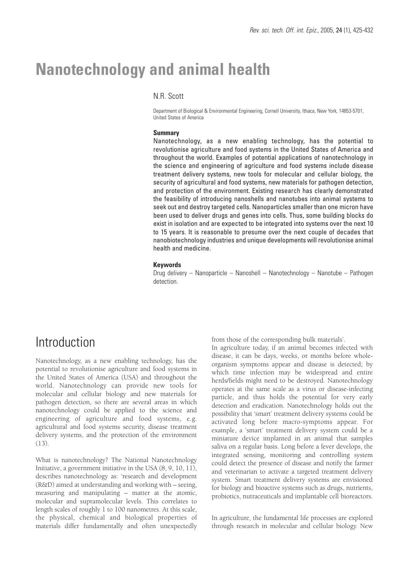# **Nanotechnology and animal health**

## N.R. Scott

Department of Biological & Environmental Engineering, Cornell University, Ithaca, New York, 14853-5701, United States of America

### **Summary**

Nanotechnology, as a new enabling technology, has the potential to revolutionise agriculture and food systems in the United States of America and throughout the world. Examples of potential applications of nanotechnology in the science and engineering of agriculture and food systems include disease treatment delivery systems, new tools for molecular and cellular biology, the security of agricultural and food systems, new materials for pathogen detection, and protection of the environment. Existing research has clearly demonstrated the feasibility of introducing nanoshells and nanotubes into animal systems to seek out and destroy targeted cells. Nanoparticles smaller than one micron have been used to deliver drugs and genes into cells. Thus, some building blocks do exist in isolation and are expected to be integrated into systems over the next 10 to 15 years. It is reasonable to presume over the next couple of decades that nanobiotechnology industries and unique developments will revolutionise animal health and medicine.

### **Keywords**

Drug delivery – Nanoparticle – Nanoshell – Nanotechnology – Nanotube – Pathogen detection.

# **Introduction**

Nanotechnology, as a new enabling technology, has the potential to revolutionise agriculture and food systems in the United States of America (USA) and throughout the world. Nanotechnology can provide new tools for molecular and cellular biology and new materials for pathogen detection, so there are several areas in which nanotechnology could be applied to the science and engineering of agriculture and food systems, e.g. agricultural and food systems security, disease treatment delivery systems, and the protection of the environment  $(13)$ 

What is nanotechnology? The National Nanotechnology Initiative, a government initiative in the USA (8, 9, 10, 11), describes nanotechnology as: 'research and development (R&D) aimed at understanding and working with – seeing, measuring and manipulating – matter at the atomic, molecular and supramolecular levels. This correlates to length scales of roughly 1 to 100 nanometres. At this scale, the physical, chemical and biological properties of materials differ fundamentally and often unexpectedly from those of the corresponding bulk materials'.

In agriculture today, if an animal becomes infected with disease, it can be days, weeks, or months before wholeorganism symptoms appear and disease is detected; by which time infection may be widespread and entire herds/fields might need to be destroyed. Nanotechnology operates at the same scale as a virus or disease-infecting particle, and thus holds the potential for very early detection and eradication. Nanotechnology holds out the possibility that 'smart' treatment delivery systems could be activated long before macro-symptoms appear. For example, a 'smart' treatment delivery system could be a miniature device implanted in an animal that samples saliva on a regular basis. Long before a fever develops, the integrated sensing, monitoring and controlling system could detect the presence of disease and notify the farmer and veterinarian to activate a targeted treatment delivery system. Smart treatment delivery systems are envisioned for biology and bioactive systems such as drugs, nutrients, probiotics, nutraceuticals and implantable cell bioreactors.

In agriculture, the fundamental life processes are explored through research in molecular and cellular biology. New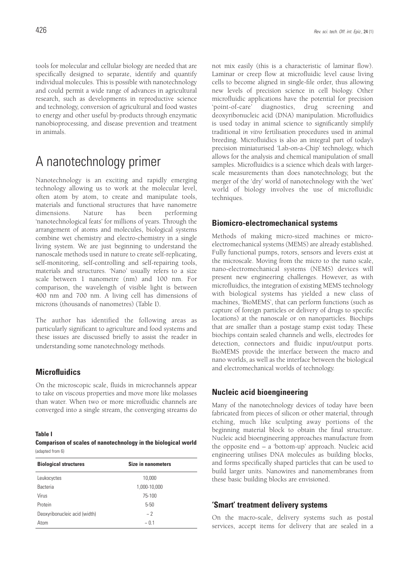tools for molecular and cellular biology are needed that are specifically designed to separate, identify and quantify individual molecules. This is possible with nanotechnology and could permit a wide range of advances in agricultural research, such as developments in reproductive science and technology, conversion of agricultural and food wastes to energy and other useful by-products through enzymatic nanobioprocessing, and disease prevention and treatment in animals.

# A nanotechnology primer

Nanotechnology is an exciting and rapidly emerging technology allowing us to work at the molecular level, often atom by atom, to create and manipulate tools, materials and functional structures that have nanometre dimensions. Nature has been performing 'nanotechnological feats' for millions of years. Through the arrangement of atoms and molecules, biological systems combine wet chemistry and electro-chemistry in a single living system. We are just beginning to understand the nanoscale methods used in nature to create self-replicating, self-monitoring, self-controlling and self-repairing tools, materials and structures. 'Nano' usually refers to a size scale between 1 nanometre (nm) and 100 nm. For comparison, the wavelength of visible light is between 400 nm and 700 nm. A living cell has dimensions of microns (thousands of nanometres) (Table I).

The author has identified the following areas as particularly significant to agriculture and food systems and these issues are discussed briefly to assist the reader in understanding some nanotechnology methods.

## **Microfluidics**

On the microscopic scale, fluids in microchannels appear to take on viscous properties and move more like molasses than water. When two or more microfluidic channels are converged into a single stream, the converging streams do

#### **Table I**

**Comparison of scales of nanotechnology in the biological world** (adapted from 6)

| <b>Biological structures</b>  | <b>Size in nanometers</b> |
|-------------------------------|---------------------------|
| Leukocyctes                   | 10,000                    |
| Bacteria                      | 1,000-10,000              |
| Virus                         | 75-100                    |
| Protein                       | $5 - 50$                  |
| Deoxyribonucleic acid (width) | ~2                        |
| Atom                          | ~1                        |

not mix easily (this is a characteristic of laminar flow). Laminar or creep flow at microfluidic level cause living cells to become aligned in single-file order, thus allowing new levels of precision science in cell biology. Other microfluidic applications have the potential for precision 'point-of-care' diagnostics, drug screening and deoxyribonucleic acid (DNA) manipulation. Microfluidics is used today in animal science to significantly simplify traditional *in vitro* fertilisation procedures used in animal breeding. Microfluidics is also an integral part of today's precision miniaturised 'Lab-on-a-Chip' technology, which allows for the analysis and chemical manipulation of small samples. Microfluidics is a science which deals with largerscale measurements than does nanotechnology, but the merger of the 'dry' world of nanotechnology with the 'wet' world of biology involves the use of microfluidic techniques.

### **Biomicro-electromechanical systems**

Methods of making micro-sized machines or microelectromechanical systems (MEMS) are already established. Fully functional pumps, rotors, sensors and levers exist at the microscale. Moving from the micro to the nano scale, nano-electromechanical systems (NEMS) devices will present new engineering challenges. However, as with microfluidics, the integration of existing MEMS technology with biological systems has yielded a new class of machines, 'BioMEMS', that can perform functions (such as capture of foreign particles or delivery of drugs to specific locations) at the nanoscale or on nanoparticles. Biochips that are smaller than a postage stamp exist today. These biochips contain sealed channels and wells, electrodes for detection, connectors and fluidic input/output ports. BioMEMS provide the interface between the macro and nano worlds, as well as the interface between the biological and electromechanical worlds of technology.

### **Nucleic acid bioengineering**

Many of the nanotechnology devices of today have been fabricated from pieces of silicon or other material, through etching, much like sculpting away portions of the beginning material block to obtain the final structure. Nucleic acid bioengineering approaches manufacture from the opposite end – a 'bottom-up' approach. Nucleic acid engineering utilises DNA molecules as building blocks, and forms specifically shaped particles that can be used to build larger units. Nanowires and nanomembranes from these basic building blocks are envisioned.

### **'Smart' treatment delivery systems**

On the macro-scale, delivery systems such as postal services, accept items for delivery that are sealed in a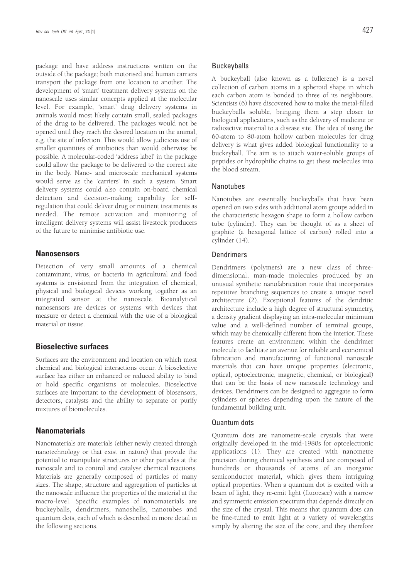package and have address instructions written on the outside of the package; both motorised and human carriers transport the package from one location to another. The development of 'smart' treatment delivery systems on the nanoscale uses similar concepts applied at the molecular level. For example, 'smart' drug delivery systems in animals would most likely contain small, sealed packages of the drug to be delivered. The packages would not be opened until they reach the desired location in the animal, e.g. the site of infection. This would allow judicious use of smaller quantities of antibiotics than would otherwise be possible. A molecular-coded 'address label' in the package could allow the package to be delivered to the correct site in the body. Nano- and microscale mechanical systems would serve as the 'carriers' in such a system. Smart delivery systems could also contain on-board chemical detection and decision-making capability for selfregulation that could deliver drug or nutrient treatments as needed. The remote activation and monitoring of intelligent delivery systems will assist livestock producers of the future to minimise antibiotic use.

### **Nanosensors**

Detection of very small amounts of a chemical contaminant, virus, or bacteria in agricultural and food systems is envisioned from the integration of chemical, physical and biological devices working together as an integrated sensor at the nanoscale. Bioanalytical nanosensors are devices or systems with devices that measure or detect a chemical with the use of a biological material or tissue.

## **Bioselective surfaces**

Surfaces are the environment and location on which most chemical and biological interactions occur. A bioselective surface has either an enhanced or reduced ability to bind or hold specific organisms or molecules. Bioselective surfaces are important to the development of biosensors, detectors, catalysts and the ability to separate or purify mixtures of biomolecules.

### **Nanomaterials**

Nanomaterials are materials (either newly created through nanotechnology or that exist in nature) that provide the potential to manipulate structures or other particles at the nanoscale and to control and catalyse chemical reactions. Materials are generally composed of particles of many sizes. The shape, structure and aggregation of particles at the nanoscale influence the properties of the material at the macro-level. Specific examples of nanomaterials are buckeyballs, dendrimers, nanoshells, nanotubes and quantum dots, each of which is described in more detail in the following sections.

### **Buckeyballs**

A buckeyball (also known as a fullerene) is a novel collection of carbon atoms in a spheroid shape in which each carbon atom is bonded to three of its neighbours. Scientists (6) have discovered how to make the metal-filled buckeyballs soluble, bringing them a step closer to biological applications, such as the delivery of medicine or radioactive material to a disease site. The idea of using the 60-atom to 80-atom hollow carbon molecules for drug delivery is what gives added biological functionality to a buckeyball. The aim is to attach water-soluble groups of peptides or hydrophilic chains to get these molecules into the blood stream.

### Nanotubes

Nanotubes are essentially buckeyballs that have been opened on two sides with additional atom groups added in the characteristic hexagon shape to form a hollow carbon tube (cylinder). They can be thought of as a sheet of graphite (a hexagonal lattice of carbon) rolled into a cylinder (14).

### **Dendrimers**

Dendrimers (polymers) are a new class of threedimensional, man-made molecules produced by an unusual synthetic nanofabrication route that incorporates repetitive branching sequences to create a unique novel architecture (2). Exceptional features of the dendritic architecture include a high degree of structural symmetry, a density gradient displaying an intra-molecular minimum value and a well-defined number of terminal groups, which may be chemically different from the interior. These features create an environment within the dendrimer molecule to facilitate an avenue for reliable and economical fabrication and manufacturing of functional nanoscale materials that can have unique properties (electronic, optical, optoelectronic, magnetic, chemical, or biological) that can be the basis of new nanoscale technology and devices. Dendrimers can be designed to aggregate to form cylinders or spheres depending upon the nature of the fundamental building unit.

#### Quantum dots

Quantum dots are nanometre-scale crystals that were originally developed in the mid-1980s for optoelectronic applications (1). They are created with nanometre precision during chemical synthesis and are composed of hundreds or thousands of atoms of an inorganic semiconductor material, which gives them intriguing optical properties. When a quantum dot is excited with a beam of light, they re-emit light (fluoresce) with a narrow and symmetric emission spectrum that depends directly on the size of the crystal. This means that quantum dots can be fine-tuned to emit light at a variety of wavelengths simply by altering the size of the core, and they therefore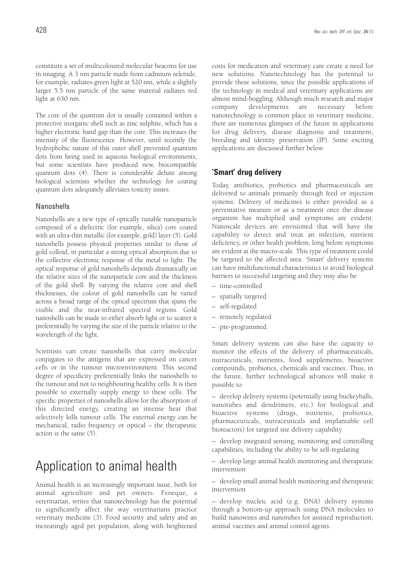constitute a set of multicoloured molecular beacons for use in imaging. A 3 nm particle made from cadmium selenide, for example, radiates green light at 520 nm, while a slightly larger 5.5 nm particle of the same material radiates red light at 630 nm.

The core of the quantum dot is usually contained within a protective inorganic shell such as zinc sulphite, which has a higher electronic band gap than the core. This increases the intensity of the fluorescence. However, until recently the hydrophobic nature of this outer shell prevented quantum dots from being used in aqueous biological environments, but some scientists have produced new, biocompatible quantum dots (4). There is considerable debate among biological scientists whether the technology for coating quantum dots adequately alleviates toxicity issues.

### Nanoshells

Nanoshells are a new type of optically tunable nanoparticle composed of a dielectric (for example, silica) core coated with an ultra-thin metallic (for example, gold) layer (5). Gold nanoshells possess physical properties similar to those of gold colloid, in particular a strong optical absorption due to the collective electronic response of the metal to light. The optical response of gold nanoshells depends dramatically on the relative sizes of the nanoparticle core and the thickness of the gold shell. By varying the relative core and shell thicknesses, the colour of gold nanoshells can be varied across a broad range of the optical spectrum that spans the visible and the near-infrared spectral regions. Gold nanoshells can be made to either absorb light or to scatter it preferentially by varying the size of the particle relative to the wavelength of the light.

Scientists can create nanoshells that carry molecular conjugates to the antigens that are expressed on cancer cells or in the tumour microenvironment. This second degree of specificity preferentially links the nanoshells to the tumour and not to neighbouring healthy cells. It is then possible to externally supply energy to these cells. The specific properties of nanoshells allow for the absorption of this directed energy, creating an intense heat that selectively kills tumour cells. The external energy can be mechanical, radio frequency or optical – the therapeutic action is the same (5).

# Application to animal health

Animal health is an increasingly important issue, both for animal agriculture and pet owners. Feneque, a veterinarian, writes that nanotechnology has the potential to significantly affect the way veterinarians practice veterinary medicine (3). Food security and safety and an increasingly aged pet population, along with heightened costs for medication and veterinary care create a need for new solutions. Nanotechnology has the potential to provide these solutions, since the possible applications of the technology in medical and veterinary applications are almost mind-boggling. Although much research and major company developments are necessary before nanotechnology is common place in veterinary medicine, there are numerous glimpses of the future in applications for drug delivery, disease diagnosis and treatment, breeding and identity preservation (IP). Some exciting applications are discussed further below.

### **'Smart' drug delivery**

Today, antibiotics, probiotics and pharmaceuticals are delivered to animals primarily through feed or injection systems. Delivery of medicines is either provided as a preventative measure or as a treatment once the disease organism has multiplied and symptoms are evident. Nanoscale devices are envisioned that will have the capability to detect and treat an infection, nutrient deficiency, or other health problem, long before symptoms are evident at the macro-scale. This type of treatment could be targeted to the affected area. 'Smart' delivery systems can have multifunctional characteristics to avoid biological barriers to successful targeting and they may also be:

- time-controlled
- spatially targeted
- self-regulated
- remotely regulated
- pre-programmed.

Smart delivery systems can also have the capacity to monitor the effects of the delivery of pharmaceuticals, nutraceuticals, nutrients, food supplements, bioactive compounds, probiotics, chemicals and vaccines. Thus, in the future, further technological advances will make it possible to:

– develop delivery systems (potentially using buckeyballs, nanotubes and dendrimers, etc.) for biological and bioactive systems (drugs, nutrients, probiotics, pharmaceuticals, nutraceuticals and implantable cell bioreactors) for targeted site delivery capability

– develop integrated sensing, monitoring and controlling capabilities, including the ability to be self-regulating

– develop large animal health monitoring and therapeutic intervention

– develop small animal health monitoring and therapeutic intervention

– develop nucleic acid (e.g. DNA) delivery systems through a bottom-up approach using DNA molecules to build nanowires and nanotubes for assisted reproduction, animal vaccines and animal control agents.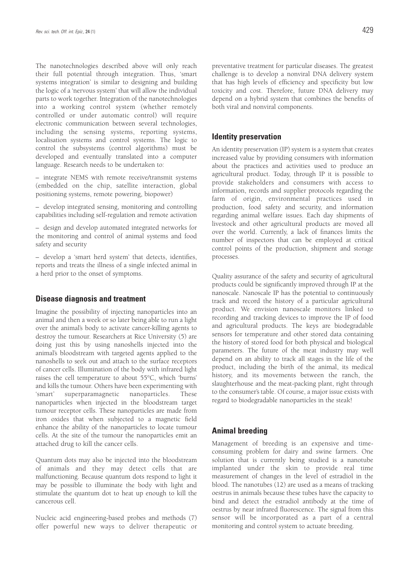The nanotechnologies described above will only reach their full potential through integration. Thus, 'smart systems integration' is similar to designing and building the logic of a 'nervous system' that will allow the individual parts to work together. Integration of the nanotechnologies into a working control system (whether remotely controlled or under automatic control) will require electronic communication between several technologies, including the sensing systems, reporting systems, localisation systems and control systems. The logic to control the subsystems (control algorithms) must be developed and eventually translated into a computer language. Research needs to be undertaken to:

– integrate NEMS with remote receive/transmit systems (embedded on the chip, satellite interaction, global positioning systems, remote powering, biopower)

– develop integrated sensing, monitoring and controlling capabilities including self-regulation and remote activation

– design and develop automated integrated networks for the monitoring and control of animal systems and food safety and security

– develop a 'smart herd system' that detects, identifies, reports and treats the illness of a single infected animal in a herd prior to the onset of symptoms.

### **Disease diagnosis and treatment**

Imagine the possibility of injecting nanoparticles into an animal and then a week or so later being able to run a light over the animal's body to activate cancer-killing agents to destroy the tumour. Researchers at Rice University (5) are doing just this by using nanoshells injected into the animal's bloodstream with targeted agents applied to the nanoshells to seek out and attach to the surface receptors of cancer cells. Illumination of the body with infrared light raises the cell temperature to about 55°C, which 'burns' and kills the tumour. Others have been experimenting with 'smart' superparamagnetic nanoparticles. These nanoparticles when injected in the bloodstream target tumour receptor cells. These nanoparticles are made from iron oxides that when subjected to a magnetic field enhance the ability of the nanoparticles to locate tumour cells. At the site of the tumour the nanoparticles emit an attached drug to kill the cancer cells.

Quantum dots may also be injected into the bloodstream of animals and they may detect cells that are malfunctioning. Because quantum dots respond to light it may be possible to illuminate the body with light and stimulate the quantum dot to heat up enough to kill the cancerous cell.

Nucleic acid engineering-based probes and methods (7) offer powerful new ways to deliver therapeutic or preventative treatment for particular diseases. The greatest challenge is to develop a nonviral DNA delivery system that has high levels of efficiency and specificity but low toxicity and cost. Therefore, future DNA delivery may depend on a hybrid system that combines the benefits of both viral and nonviral components.

### **Identity preservation**

An identity preservation (IP) system is a system that creates increased value by providing consumers with information about the practices and activities used to produce an agricultural product. Today, through IP it is possible to provide stakeholders and consumers with access to information, records and supplier protocols regarding the farm of origin, environmental practices used in production, food safety and security, and information regarding animal welfare issues. Each day shipments of livestock and other agricultural products are moved all over the world. Currently, a lack of finances limits the number of inspectors that can be employed at critical control points of the production, shipment and storage processes.

Quality assurance of the safety and security of agricultural products could be significantly improved through IP at the nanoscale. Nanoscale IP has the potential to continuously track and record the history of a particular agricultural product. We envision nanoscale monitors linked to recording and tracking devices to improve the IP of food and agricultural products. The keys are biodegradable sensors for temperature and other stored data containing the history of stored food for both physical and biological parameters. The future of the meat industry may well depend on an ability to track all stages in the life of the product, including the birth of the animal, its medical history, and its movements between the ranch, the slaughterhouse and the meat-packing plant, right through to the consumer's table. Of course, a major issue exists with regard to biodegradable nanoparticles in the steak!

### **Animal breeding**

Management of breeding is an expensive and timeconsuming problem for dairy and swine farmers. One solution that is currently being studied is a nanotube implanted under the skin to provide real time measurement of changes in the level of estradiol in the blood. The nanotubes (12) are used as a means of tracking oestrus in animals because these tubes have the capacity to bind and detect the estradiol antibody at the time of oestrus by near infrared fluorescence. The signal from this sensor will be incorporated as a part of a central monitoring and control system to actuate breeding.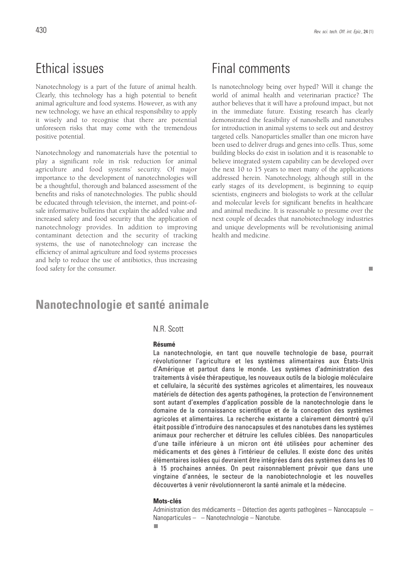# Ethical issues

Nanotechnology is a part of the future of animal health. Clearly, this technology has a high potential to benefit animal agriculture and food systems. However, as with any new technology, we have an ethical responsibility to apply it wisely and to recognise that there are potential unforeseen risks that may come with the tremendous positive potential.

Nanotechnology and nanomaterials have the potential to play a significant role in risk reduction for animal agriculture and food systems' security. Of major importance to the development of nanotechnologies will be a thoughtful, thorough and balanced assessment of the benefits and risks of nanotechnologies. The public should be educated through television, the internet, and point-ofsale informative bulletins that explain the added value and increased safety and food security that the application of nanotechnology provides. In addition to improving contaminant detection and the security of tracking systems, the use of nanotechnology can increase the efficiency of animal agriculture and food systems processes and help to reduce the use of antibiotics, thus increasing food safety for the consumer.

# Final comments

Is nanotechnology being over hyped? Will it change the world of animal health and veterinarian practice? The author believes that it will have a profound impact, but not in the immediate future. Existing research has clearly demonstrated the feasibility of nanoshells and nanotubes for introduction in animal systems to seek out and destroy targeted cells. Nanoparticles smaller than one micron have been used to deliver drugs and genes into cells. Thus, some building blocks do exist in isolation and it is reasonable to believe integrated system capability can be developed over the next 10 to 15 years to meet many of the applications addressed herein. Nanotechnology, although still in the early stages of its development, is beginning to equip scientists, engineers and biologists to work at the cellular and molecular levels for significant benefits in healthcare and animal medicine. It is reasonable to presume over the next couple of decades that nanobiotechnology industries and unique developments will be revolutionising animal health and medicine.

### m.

# **Nanotechnologie et santé animale**

### N.R. Scott

#### **Résumé**

La nanotechnologie, en tant que nouvelle technologie de base, pourrait révolutionner l'agriculture et les systèmes alimentaires aux États-Unis d'Amérique et partout dans le monde. Les systèmes d'administration des traitements à visée thérapeutique, les nouveaux outils de la biologie moléculaire et cellulaire, la sécurité des systèmes agricoles et alimentaires, les nouveaux matériels de détection des agents pathogènes, la protection de l'environnement sont autant d'exemples d'application possible de la nanotechnologie dans le domaine de la connaissance scientifique et de la conception des systèmes agricoles et alimentaires. La recherche existante a clairement démontré qu'il était possible d'introduire des nanocapsules et des nanotubes dans les systèmes animaux pour rechercher et détruire les cellules ciblées. Des nanoparticules d'une taille inférieure à un micron ont été utilisées pour acheminer des médicaments et des gènes à l'intérieur de cellules. Il existe donc des unités élémentaires isolées qui devraient être intégrées dans des systèmes dans les 10 à 15 prochaines années. On peut raisonnablement prévoir que dans une vingtaine d'années, le secteur de la nanobiotechnologie et les nouvelles découvertes à venir révolutionneront la santé animale et la médecine.

#### **Mots-clés**

Administration des médicaments – Détection des agents pathogènes – Nanocapsule – Nanoparticules – – Nanotechnologie – Nanotube.

п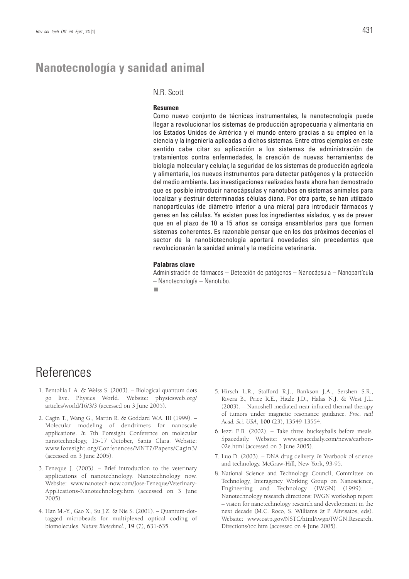# **Nanotecnología y sanidad animal**

### N.R. Scott

#### **Resumen**

Como nuevo conjunto de técnicas instrumentales, la nanotecnología puede llegar a revolucionar los sistemas de producción agropecuaria y alimentaria en los Estados Unidos de América y el mundo entero gracias a su empleo en la ciencia y la ingeniería aplicadas a dichos sistemas. Entre otros ejemplos en este sentido cabe citar su aplicación a los sistemas de administración de tratamientos contra enfermedades, la creación de nuevas herramientas de biología molecular y celular, la seguridad de los sistemas de producción agrícola y alimentaria, los nuevos instrumentos para detectar patógenos y la protección del medio ambiente. Las investigaciones realizadas hasta ahora han demostrado que es posible introducir nanocápsulas y nanotubos en sistemas animales para localizar y destruir determinadas células diana. Por otra parte, se han utilizado nanopartículas (de diámetro inferior a una micra) para introducir fármacos y genes en las células. Ya existen pues los ingredientes aislados, y es de prever que en el plazo de 10 a 15 años se consiga ensamblarlos para que formen sistemas coherentes. Es razonable pensar que en los dos próximos decenios el sector de la nanobiotecnología aportará novedades sin precedentes que revolucionarán la sanidad animal y la medicina veterinaria.

#### **Palabras clave**

Administración de fármacos – Detección de patógenos – Nanocápsula – Nanopartícula – Nanotecnología – Nanotubo.

n.

# References

- 1. Bentolila L.A. & Weiss S. (2003). Biological quantum dots go live. Physics World. Website: physicsweb.org/ articles/world/16/3/3 (accessed on 3 June 2005).
- 2. Cagin T., Wang G., Martin R. & Goddard W.A. III (1999). Molecular modeling of dendrimers for nanoscale applications. *In* 7th Foresight Conference on molecular nanotechnology, 15-17 October, Santa Clara. Website: www.foresight.org/Conferences/MNT7/Papers/Cagin3/ (accessed on 3 June 2005).
- 3. Feneque J. (2003). Brief introduction to the veterinary applications of nanotechnology. Nanotechnology now. Website: www.nanotech-now.com/Jose-Feneque/Veterinary-Applications-Nanotechnology.htm (accessed on 3 June 2005).
- 4. Han M.-Y., Gao X., Su J.Z. & Nie S. (2001). Quantum-dottagged microbeads for multiplexed optical coding of biomolecules. *Nature Biotechnol.*, **19** (7), 631-635.
- 5. Hirsch L.R., Stafford R.J., Bankson J.A., Sershen S.R., Rivera B., Price R.E., Hazle J.D., Halas N.J. & West J.L. (2003). – Nanoshell-mediated near-infrared thermal therapy of tumors under magnetic resonance guidance. *Proc. natl Acad. Sci. USA*, **100** (23), 13549-13554.
- 6. Iezzi E.B. (2002). Take three buckeyballs before meals. Spacedaily. Website: www.spacedaily.com/news/carbon-02e.html (accessed on 3 June 2005).
- 7. Luo D. (2003). DNA drug delivery. *In* Yearbook of science and technology. McGraw-Hill, New York, 93-95.
- 8. National Science and Technology Council, Committee on Technology, Interagency Working Group on Nanoscience, Engineering and Technology (IWGN) (1999). – Nanotechnology research directions: IWGN workshop report – vision for nanotechnology research and development in the next decade (M.C. Roco, S. Williams & P. Alivisatos, eds). Website: www.ostp.gov/NSTC/html/iwgn/IWGN.Research. Directions/toc.htm (accessed on 4 June 2005).